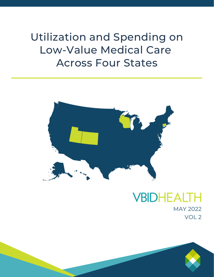Utilization and Spending on Low-Value Medical Care Across Four States



## **VBIDHEALT** MAY 2022 VOL 2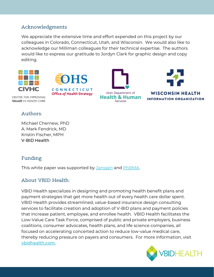### Acknowledgments

We appreciate the extensive time and effort expended on this project by our colleagues in Colorado, Connecticut, Utah, and Wisconsin. We would also like to acknowledge our Milliman colleagues for their technical expertise. The authors would like to express our gratitude to Jordyn Clark for graphic design and copy editing.



### Authors:

Michael Chernew, PhD A. Mark Fendrick, MD Kristin Fischer, MPH V-BID Health

### Funding

This white paper was supported by [Janssen](https://www.janssen.com/) and [PhRMA.](https://www.phrma.org/en)

### About VBID Health:

VBID Health specializes in designing and promoting health benefit plans and payment strategies that get more health out of every health care dollar spent. VBID Health provides streamlined, value-based insurance design consulting services to facilitate creation and adoption of V-BID plans and payment policies that increase patient, employee, and enrollee health. VBID Health facilitates the Low-Value Care Task Force, comprised of public and private employers, business coalitions, consumer advocates, health plans, and life science companies, all focused on accelerating concerted action to reduce low-value medical care, thereby reducing pressure on payers and consumers. For more information, visit [vbidhealth.com.](http://vbidhealth.com/)

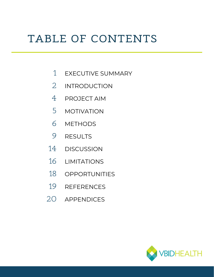# TABLE OF CONTENTS

- EXECUTIVE SUMMARY 1
- INTRODUCTION 2
- PROJECT AIM 4
- MOTIVATION 5
- METHODS 6
- RESULTS 9
- **DISCUSSION** 14
- LIMITATIONS 16
- 18 OPPORTUNITIES
- REFERENCES 19
- 20 APPENDICES

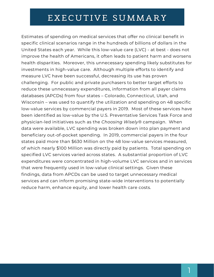## EXECUTIVE SUMMARY

Estimates of spending on medical services that offer no clinical benefit in specific clinical scenarios range in the hundreds of billions of dollars in the United States each year. While this low-value care (LVC) - at best - does not improve the health of Americans, it often leads to patient harm and worsens health disparities. Moreover, this unnecessary spending likely substitutes for investments in high-value care. Although multiple efforts to identify and measure LVC have been successful, decreasing its use has proven challenging. For public and private purchasers to better target efforts to reduce these unnecessary expenditures, information from all payer claims databases (APCDs) from four states – Colorado, Connecticut, Utah, and Wisconsin – was used to quantify the utilization and spending on 48 specific low-value services by commercial payers in 2019. Most of these services have been identified as low-value by the U.S. Preventative Services Task Force and physician-led initiatives such as the *Choosing Wisely®* campaign. When data were available, LVC spending was broken down into plan payment and beneficiary out-of-pocket spending. In 2019, commercial payers in the four states paid more than \$630 Million on the 48 low-value services measured, of which nearly \$100 Million was directly paid by patients. Total spending on specified LVC services varied across states. A substantial proportion of LVC expenditures were concentrated in high-volume LVC services and in services that were frequently used in low-value clinical settings. Given these findings, data from APCDs can be used to target unnecessary medical services and can inform promising state-wide interventions to potentially reduce harm, enhance equity, and lower health care costs.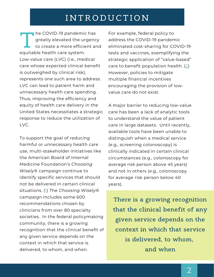## **INTRODUCTION**

expansive to the unit of the covid-19 pandemic<br>to create a more efficiency to create a more efficiency. Low-value care (LVC) (i.e., medical care whose expected clinical benefit is outweighed by clinical risk), represents one such area to address. LVC can lead to patient harm and unnecessary health care spending. Thus, improving the efficiency and equity of health care delivery in the United States necessitates a strategic response to reduce the utilization of  $UVC$ he COVID-19 pandemic has greatly elevated the urgency to create a more efficient and

To support the goal of reducing harmful or unnecessary health care use, multi-stakeholder initiatives like the American Board of Internal Medicine Foundation's *Choosing Wisely*® campaign continue to identify specific services that should not be delivered in certain clinical situations. ([1\)](https://vbidcenter.org/wp-content/uploads/2021/12/Reducing-Low-Value-Care-to-Improve-Health-Equity.pdf) The *Choosing Wisely*® campaign includes some 600 recommendations chosen by clinicians from over 80 specialty societies. In the federal policymaking community, there is a growing recognition that the clinical benefit of any given service depends on the context in which that service is delivered, to whom, and when.

For example, federal policy to address the COVID-19 pandemic eliminated cost-sharing for COVID-19 tests and vaccines, exemplifying the strategic application of "value-based" care to benefit population health. ([2](https://www.healthaffairs.org/doi/10.1377/hlthaff.2016.1416)) However, policies to mitigate multiple financial incentives encouraging the provision of lowvalue care do not exist.

A major barrier to reducing low-value care has been a lack of analytic tools to understand the value of patient care in large datasets. Until recently, available tools have been unable to distinguish when a medical service (e.g., screening colonoscopy) is clinically indicated in certain clinical circumstances (e.g., colonoscopy for average risk person above 45 years) and not in others (e.g., colonoscopy for average risk person below 40 years).

**There is a growing recognition that the clinical benefit of any given service depends on the context in which that service is delivered, to whom, and when**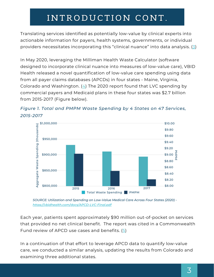## INTRODUCTION CONT.

Translating services identified as potentially low-value by clinical experts into actionable information for payers, health systems, governments, or individual providers necessitates incorporating this "clinical nuance" into data analysis. ([3\)](https://vbidhealth.com/wp-content/uploads/2022/04/Fendrick-Smith-Chernew-2010.pdf)

In May 2020, leveraging the Milliman Health Waste Calculator (software designed to incorporate clinical nuance into measures of low-value care), VBID Health released a novel quantification of low-value care spending using data from all payer claims databases (APCDs) in four states - Maine, Virginia, Colorado and Washington.  $(4)$  $(4)$  $(4)$  The 2020 report found that LVC spending by commercial payers and Medicaid plans in these four states was \$2.7 billion from 2015-2017 (Figure below).





2016

Total Waste Spending PMPM

2015

Each year, patients spent approximately \$90 million out-of-pocket on services that provided no net clinical benefit. The report was cited in a Commonwealth Fund review of APCD use cases and benefits. ([5](https://www.commonwealthfund.org/sites/default/files/2020-12/McCarthy_State_APCDs_Part2_v2.pdf))

In a continuation of that effort to leverage APCD data to quantify low-value care, we conducted a similar analysis, updating the results from Colorado and examining three additional states.

\$8.00

2017

*SOURCE: Utilization and Spending on Low-Value Medical Care Across Four States (2020) <https://vbidhealth.com/docs/APCD-LVC-Final.pdf>*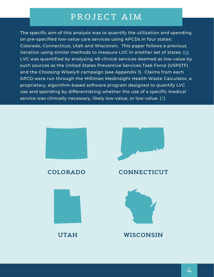## **PR O JECT A IM**

The specific aim of this analysis was to quantify the utilization and spending on pre-specified low-value care services using APCDs in four states: Colorado, Connecticut, Utah and Wisconsin. This paper follows a previous iteration using similar methods to measure LVC in another set of states.  $(6)$  $(6)$  $(6)$ LVC was quantified by analyzing 48 clinical services deemed as low-value by such sources as the United States Preventive Services Task Force (USPSTF) and the *Choosing Wisely®* campaign (see Appendix 1). Claims from each APCD were run through the Milliman MedInsight Health Waste Calculator, a proprietary, algorithm-based software program designed to quantify LVC use and spending by differentiating whether the use of a specific medical service was clinically necessary, likely low-value, or low-value.  $(7)$  $(7)$ 

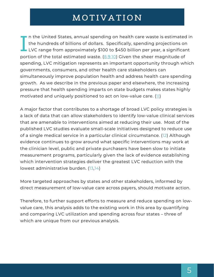## **MO T I V A T I ON**

If the officed states, annual spending on health care waste is estimated<br>the hundreds of billions of dollars. Specifically, spending projections of<br>LVC range from approximately \$[10](https://www.nap.edu/catalog/13444/best-care-at-lower-cost-the-path-to-continuously-learning)0 to \$450 billion per year, a significal<br>p n the United States, annual spending on health care waste is estimated in the hundreds of billions of dollars. Specifically, spending projections on LVC range from approximately \$100 to \$450 billion per year, a significant spending, LVC mitigation represents an important opportunity through which governments, consumers, and other health care stakeholders can simultaneously improve population health and address health care spending growth. As we describe in the previous paper and elsewhere, the increasing pressure that health spending imparts on state budgets makes states highly motivated and uniquely positioned to act on low-value care.  $(1)$ 

A major factor that contributes to a shortage of broad LVC policy strategies is a lack of data that can allow stakeholders to identify low-value clinical services that are amenable to interventions aimed at reducing their use. Most of the published LVC studies evaluate small-scale initiatives designed to reduce use of a single medical service in a particular clinical circumstance. ([12](https://pubmed.ncbi.nlm.nih.gov/30907922/)) Although evidence continues to grow around what specific interventions may work at the clinician level, public and private purchasers have been slow to initiate measurement programs, particularly given the lack of evidence establishing which intervention strategies deliver the greatest LVC reduction with the lowest administrative burden. ([13,](https://www.ajmc.com/view/imagining-a-world-without-low-value-services-progress-barriers-and-the-path-forward)[14\)](https://jamanetwork.com/journals/jamainternalmedicine/fullarticle/2784487)

More targeted approaches by states and other stakeholders, informed by direct measurement of low-value care across payers, should motivate action.

Therefore, to further support efforts to measure and reduce spending on lowvalue care, this analysis adds to the existing work in this area by quantifying and comparing LVC utilization and spending across four states – three of which are unique from our previous analysis.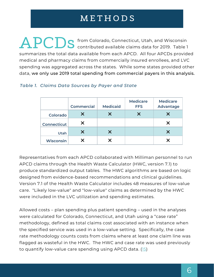## **M E T H O D S**

**APCDS** from Colorado, Connecticut, Utah, and Wisconsin<br>
contributed available claims data for 2019. Table 1 contributed available claims data for 2019. Table 1 summarizes the total data available from each APCD. All four APCDs provided medical and pharmacy claims from commercially insured enrollees, and LVC spending was aggregated across the states. While some states provided other data, we only use 2019 total spending from commercial payers in this analysis.

|                    | <b>Commercial</b>     | <b>Medicaid</b> | <b>Medicare</b><br><b>FFS</b> | <b>Medicare</b><br>Advantage |
|--------------------|-----------------------|-----------------|-------------------------------|------------------------------|
| Colorado           | X                     |                 | X                             |                              |
| <b>Connecticut</b> | X                     |                 |                               |                              |
| Utah               | $\boldsymbol{\times}$ | X               |                               |                              |
| <b>Wisconsin</b>   |                       |                 |                               |                              |

### *Table 1. Claims Data Sources by Payer and State*

Representatives from each APCD collaborated with Milliman personnel to run APCD claims through the Health Waste Calculator (HWC, version 7.1) to produce standardized output tables. The HWC algorithms are based on logic designed from evidence-based recommendations and clinical guidelines. Version 7.1 of the Health Waste Calculator includes 48 measures of low-value care. "Likely low-value" and "low-value" claims as determined by the HWC were included in the LVC utilization and spending estimates.

Allowed costs – plan spending plus patient spending – used in the analyses were calculated for Colorado, Connecticut, and Utah using a "case rate" methodology, defined as total claims cost associated with an instance when the specified service was used in a low-value setting. Specifically, the case rate methodology counts costs from claims where at least one claim line was flagged as wasteful in the HWC. The HWC and case rate was used previously to quantify low-value care spending using APCD data. ([15\)](https://www.wacommunitycheckup.org/media/47217/first-do-no-harm-oct-2019.pdf)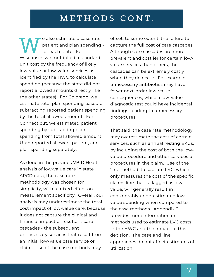## **M E T H O D S C O N T .**

E also estimate a case rate<br>patient and plan spending<br>for each state. For<br>Wisconsin, we multiplied a standard unit cost by the frequency of likely low-value or low-value services as identified by the HWC to calculate spending (because the state did not report allowed amounts directly like the other states). For Colorado, we estimate total plan spending based on subtracting reported patient spending by the total allowed amount. For Connecticut, we estimated patient spending by subtracting plan spending from total allowed amount. Utah reported allowed, patient, and plan spending separately. e also estimate a case rate patient and plan spending for each state. For

As done in the previous VBID Health analysis of low-value care in state APCD data, the case rate methodology was chosen for simplicity, with a mixed effect on measurement specificity. Overall, our analysis may underestimate the total cost impact of low-value care, because it does not capture the clinical and financial impact of resultant care cascades - the subsequent unnecessary services that result from an initial low-value care service or claim. Use of the case methods may

offset, to some extent, the failure to capture the full cost of care cascades. Although care cascades are more prevalent and costlier for certain lowvalue services than others, the cascades can be extremely costly when they do occur. For example, unnecessary antibiotics may have fewer next-order low-value consequences, while a low-value diagnostic test could have incidental findings. leading to unnecessary procedures.

That said, the case rate methodology may overestimate the cost of certain services, such as annual resting EKGs, by including the cost of both the lowvalue procedure and other services or procedures in the claim. Use of the 'line method' to capture LVC, which only measures the cost of the specific claims line that is flagged as lowvalue, will generally result in considerably underestimated lowvalue spending when compared to the case methods. Appendix 2 provides more information on methods used to estimate LVC costs in the HWC and the impact of this decision. The case and line approaches do not affect estimates of utilization.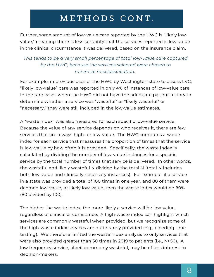## **M E T H O D S C O N T .**

Further, some amount of low-value care reported by the HWC is "likely lowvalue," meaning there is less certainty that the services reported is low-value in the clinical circumstance it was delivered, based on the insurance claim.

### *This tends to be a very small percentage of total low-value care captured by the HWC, because the services selected were chosen to minimize misclassification.*

For example, in previous uses of the HWC by Washington state to assess LVC, "likely low-value" care was reported in only 4% of instances of low-value care. In the rare cases when the HWC did not have the adequate patient history to determine whether a service was "wasteful" or "likely wasteful" or "necessary," they were still included in the low-value estimates.

A "waste index" was also measured for each specific low-value service. Because the value of any service depends on who receives it, there are few services that are always high- or low-value. The HWC computes a waste index for each service that measures the proportion of times that the service is low-value by how often it is provided. Specifically, the waste index is calculated by dividing the number of low-value instances for a specific service by the total number of times that service is delivered. In other words, the wasteful and likely wasteful N divided by the total N (total N includes both low-value and clinically necessary instances). For example, if a service in a state was provided a total of 100 times in one year, and 80 of them were deemed low-value, or likely low-value, then the waste index would be 80% (80 divided by 100).

The higher the waste index, the more likely a service will be low-value, regardless of clinical circumstance. A high-waste index can highlight which services are commonly wasteful when provided, but we recognize some of the high-waste index services are quite rarely provided (e.g., bleeding time testing). We therefore limited the waste index analysis to only services that were also provided greater than 50 times in 2019 to patients (i.e., N>50). A low frequency service, albeit commonly wasteful, may be of less interest to decision-makers.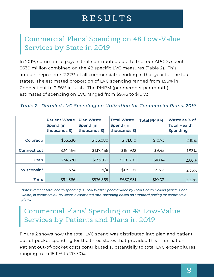## **R E S U L T S**

## Commercial Plans' Spending on 48 Low-Value Services by State in 2019

In 2019, commercial payers that contributed data to the four APCDs spent \$630 million combined on the 48 specific LVC measures (Table 2). This amount represents 2.22% of all commercial spending in that year for the four states. The estimated proportion of LVC spending ranged from 1.93% in Connecticut to 2.66% in Utah. The PMPM (per member per month) estimates of spending on LVC ranged from \$9.45 to \$10.73.

### *Table 2. Detailed LVC Spending on Utilization for Commercial Plans, 2019*

|                    | <b>Patient Waste</b><br>Spend (in<br>thousands \$) | <b>Plan Waste</b><br>Spend (in<br>thousands \$) | <b>Total Waste</b><br>Spend (in<br>thousands \$) | <b>Total PMPM</b> | Waste as % of<br><b>Total Health</b><br><b>Spending</b> |
|--------------------|----------------------------------------------------|-------------------------------------------------|--------------------------------------------------|-------------------|---------------------------------------------------------|
| Colorado           | \$35,530                                           | \$136,080                                       | \$171,610                                        | \$10.73           | 2.10%                                                   |
| <b>Connecticut</b> | \$24,466                                           | \$137,456                                       | \$161,922                                        | \$9.45            | 1.93%                                                   |
| <b>Utah</b>        | \$34,370                                           | \$133,832                                       | \$168,202                                        | \$10.14           | 2.66%                                                   |
| Wisconsin*         | N/A                                                | N/A                                             | \$129,197                                        | \$9.77            | 2.36%                                                   |
| Total              | \$94,366                                           | \$536,565                                       | \$630,931                                        | \$10.02           | 2.22%                                                   |

*Notes: Percent total health spending is Total Waste Spend divided by Total Health Dollars (waste + nonwaste) in commercial. \*Wisconsin estimated total spending based on standard pricing for commercial plans.*

## Commercial Plans' Spending on 48 Low-Value Services by Patients and Plans in 2019

Figure 2 shows how the total LVC spend was distributed into plan and patient out-of-pocket spending for the three states that provided this information. Patient out-of-pocket costs contributed substantially to total LVC expenditures, ranging from 15.11% to 20.70%.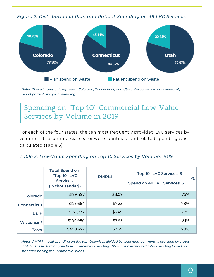*Figure 2. Distribution of Plan and Patient Spending on 48 LVC Services*



*Notes: These figures only represent Colorado, Connecticut, and Utah. Wisconsin did not separately report patient and plan spending.*

## Spending on "Top 10" Commercial Low-Value Services by Volume in 2019

For each of the four states, the ten most frequently provided LVC services by volume in the commercial sector were identified, and related spending was calculated (Table 3).

### *Table 3. Low-Value Spending on Top 10 Services by Volume, 2019*

|                    | <b>Total Spend on</b><br>"Top 10" LVC | <b>PMPM</b> | "Top 10" LVC Services, \$<br>$= 96$ |
|--------------------|---------------------------------------|-------------|-------------------------------------|
|                    | <b>Services</b><br>(in thousands \$)  |             | Spend on 48 LVC Services, \$        |
| Colorado           | \$129,497                             | \$8.09      | 75%                                 |
| <b>Connecticut</b> | \$125,664                             | \$7.33      | 78%                                 |
| <b>Utah</b>        | \$130,332                             | \$5.49      | 77%                                 |
| Wisconsin*         | \$104,980                             | \$7.93      | 81%                                 |
| <b>Total</b>       | \$490,472                             | \$7.79      | 78%                                 |

Notes: PMPM = total spending on the top 10 services divided by total member months provided by states *in 2019. These data only include commercial spending. \*Wisconsin estimated total spending based on standard pricing for Commercial plans.*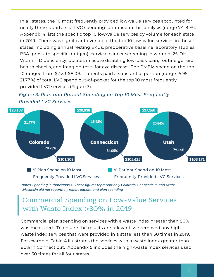In all states, the 10 most frequently provided low-value services accounted for nearly three-quarters of LVC spending identified in this analysis (range 74-81%). Appendix 4 lists the specific top 10 low-value services by volume for each state in 2019. There was significant overlap of the top 10 low-value services in these states, including annual resting EKGs, preoperative baseline laboratory studies, PSA (prostate specific antigen), cervical cancer screening in women, 25-OH-Vitamin D deficiency, opiates in acute disabling low-back pain, routine general health checks, and imaging tests for eye disease. The PMPM spend on the top 10 ranged from \$7.33-\$8.09. Patients paid a substantial portion (range 15.95- 21.77%) of total LVC spend out-of-pocket for the top 10 most frequently provided LVC services (Figure 3).





*Notes: Spending in thousands \$. These figures represent only Colorado, Connecticut, and Utah; Wisconsin did not separately report patient and plan spending.*

### Commercial Spending on Low-Value Services with Waste Index >80% in 2019

Commercial plan spending on services with a waste index greater than 80% was measured. To ensure the results are relevant, we removed any highwaste index services that were provided in a state less than 50 times in 2019. For example, Table 4 illustrates the services with a waste index greater than 80% in Connecticut. Appendix 5 includes the high-waste index services used over 50 times for all four states.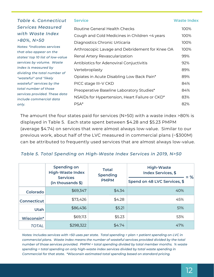| Table 4. Connecticut                                        | <b>Service</b>                                  | <b>Waste Index</b> |
|-------------------------------------------------------------|-------------------------------------------------|--------------------|
| Services Measured                                           | Routine General Health Checks                   | 100%               |
| with Waste Index                                            | Cough and Cold Medicines in Children <4 years   | 100%               |
| $>80\%$ , N $>50$                                           | Diagnostics Chronic Urticaria                   | 100%               |
| Notes: *indicates services                                  | Arthroscopic Lavage and Debridement for Knee OA | 100%               |
| that also appear on the<br>states' top 10 list of low-value | Renal Artery Revascularization                  | 99%                |
| services by volume. Waste                                   | Antibiotics for Adenoviral Conjuctivitis        | 92%                |
| index is measured by                                        | Vertebroplasty                                  | 89%                |
| dividing the total number of                                | Opiates in Acute Disabling Low Back Pain*       | 89%                |
| "wasteful" and "likely<br>wasteful" services by the         | PICC stage III-V CKD                            | 84%                |
| total number of those                                       | Preoperative Baseline Laboratory Studies*       | 84%                |
| services provided. These data                               | NSAIDs for Hypertension, Heart Failure or CKD*  | 83%                |
| include commercial data                                     |                                                 |                    |
| only.                                                       | PSA <sup>*</sup>                                | 82%                |

The amount the four states paid for services (N>50) with a waste index >80% is displayed in Table 5. Each state spent between \$4.28 and \$5.23 PMPM (average \$4.74) on services that were almost always low-value. Similar to our previous work, about half of the LVC measured in commercial plans (~\$300M) can be attributed to frequently used services that are almost always low-value.

### *Table 5. Total Spending on High-Waste Index Services in 2019, N>50*

|                    | <b>Spending on</b><br><b>High-Waste Index</b> | <b>Total</b><br><b>Spending</b> | <b>High-Waste</b><br><b>Index Services, \$</b><br>$=$ % |
|--------------------|-----------------------------------------------|---------------------------------|---------------------------------------------------------|
|                    | <b>Services</b><br>(in thousands \$)          | <b>PMPM</b>                     | Spend on 48 LVC Services, \$                            |
| Colorado           | \$69,347                                      | \$4.34                          | 40%                                                     |
| <b>Connecticut</b> | \$73,426                                      | \$4.28                          | 45%                                                     |
| <b>Utah</b>        | \$86,436                                      | \$5.21                          | 51%                                                     |
| Wisconsin*         | \$69,113                                      | \$5.23                          | 53%                                                     |
| <b>TOTAL</b>       | \$298,322                                     | \$4.74                          | 47%                                                     |

Notes: Includes services with >50 uses per state. Total spending = plan + patient spending on LVC in *commercial plans. Waste index means the number of wasteful services provided divided by the total number of those services provided. PMPM = total spending divided by total member months. % waste spending = total spending on only high-waste index services divided by total waste spending in Commercial for that state. \*Wisconsin estimated total spending based on standard pricing.*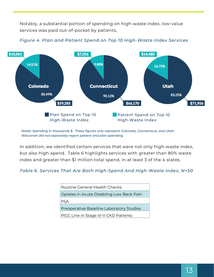Notably, a substantial portion of spending on high-waste index, low-value services was paid out-of-pocket by patients.



*Figure 4. Plan and Patient Spend on Top 10 High-Waste Index Services*

*Notes: Spending in thousands \$. These figures only represent Colorado, Connecticut, and Utah. Wisconsin did not separately report patient and plan spending.*

In addition, we identified certain services that were not only high-waste index, but also high-spend. Table 6 highlights services with greater than 80% waste index and greater than \$1 million total spend, in at least 3 of the 4 states.

#### *Table 6. Services That Are Both High-Spend And High-Waste Index, N>50*

| <b>Routine General Health Checks</b>     |
|------------------------------------------|
| Opiates in Acute Disabling Low Back Pain |
| PSA                                      |
| Preoperative Baseline Laboratory Studies |
| PICC Line in Stage III-V CKD Patients    |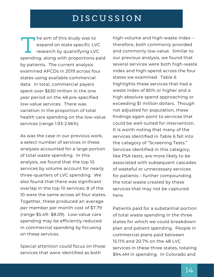## **D I S C U S S I O N**

Fire all of this study was to<br>expand on state specific LVC<br>research by quantifying LVC<br>spending, along with proportions paid by patients. The current analysis examined APCDs in 2019 across four states using available commercial data. In total, commercial payers spent over \$630 million in the one year period on the 48 pre-specified low-value services. There was variation in the proportion of total health care spending on the low-value services (range 1.93-2.66%). **h** he aim of this study was to expand on state specific LVC research by quantifying LVC

As was the case in our previous work, a select number of services in these analyses accounted for a large portion of total waste spending. In this analysis, we found that the top 10 services by volume account for nearly three-quarters of LVC spending. We also found that there was significant overlap in the top 10 services; 8 of the 10 were the same across all four states. Together, these produced an average per member per month cost of \$7.79 (range \$5.49- \$8.09). Low-value care spending may be efficiently reduced in commercial spending by focusing on these services.

Special attention could focus on those services that were identified as both

high-volume and high-waste index – therefore, both commonly provided and commonly low-value. Similar to our previous analysis, we found that several services were both high-waste index and high-spend across the four states we examined. Table 6 highlights these services that had a waste index of 80% or higher and a high absolute spend approaching or exceeding \$1 million dollars. Though not adjusted for population, these findings again point to services that could be well-suited for intervention. It is worth noting that many of the services identified in Table 6 fall into the category of "Screening Tests." Services identified in this category, like PSA tests, are more likely to be associated with subsequent cascades of wasteful or unnecessary services for patients – further compounding the total waste created by these services that may not be captured here.

Patients paid for a substantial portion of total waste spending in the three states for which we could breakdown plan and patient spending. People in commercial plans paid between 15.11% and 20.7% on the 48 LVC services in these three states, totaling \$94.4M in spending. In Colorado and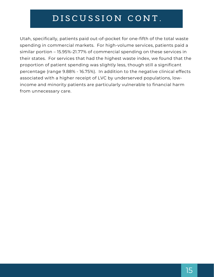## $\overline{DISCUS}$  **SION CONT**.

Utah, specifically, patients paid out-of-pocket for one-fifth of the total waste spending in commercial markets. For high-volume services, patients paid a similar portion – 15.95%-21.77% of commercial spending on these services in their states. For services that had the highest waste index, we found that the proportion of patient spending was slightly less, though still a significant percentage (range 9.88% - 16.75%). In addition to the negative clinical effects associated with a higher receipt of LVC by underserved populations, lowincome and minority patients are particularly vulnerable to financial harm from unnecessary care.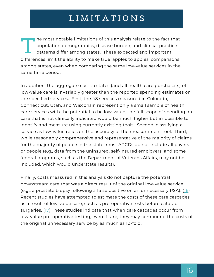## **L I M I T A T I O N S**

The most notable immtations of this analysis relate to the ract that<br>population demographics, disease burden, and clinical practice<br>patterns differ among states. These expected and important<br>differences limit the ability t among states, even when comparing the same low-value services in the same time period. he most notable limitations of this analysis relate to the fact that population demographics, disease burden, and clinical practice patterns differ among states. These expected and important

In addition, the aggregate cost to states (and all health care purchasers) of low-value care is invariably greater than the reported spending estimates on the specified services. First, the 48 services measured in Colorado, Connecticut, Utah, and Wisconsin represent only a small sample of health care services with the potential to be low-value; the full scope of spending on care that is not clinically indicated would be much higher but impossible to identify and measure using currently existing tools. Second, classifying a service as low-value relies on the accuracy of the measurement tool. Third, while reasonably comprehensive and representative of the majority of claims for the majority of people in the state, most APCDs do not include all payers or people (e.g., data from the uninsured, self-insured employers, and some federal programs, such as the Department of Veterans Affairs, may not be included, which would understate results).

Finally, costs measured in this analysis do not capture the potential downstream care that was a direct result of the original low-value service (e.g., a prostate biopsy following a false positive on an unnecessary PSA). ([16](https://www.ajmc.com/view/stopping-the-flood-reducing-harmful-cascades-of-care)) Recent studies have attempted to estimate the costs of these care cascades as a result of low-value care, such as pre-operative tests before cataract surgeries. [\(17\)](https://jamanetwork.com/journals/jamainternalmedicine/fullarticle/2735387) These studies indicate that when care cascades occur from low-value pre-operative testing, even if rare, they may compound the costs of the original unnecessary service by as much as 10-fold.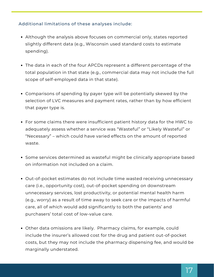### Additional limitations of these analyses include:

- Although the analysis above focuses on commercial only, states reported slightly different data (e.g., Wisconsin used standard costs to estimate spending).
- The data in each of the four APCDs represent a different percentage of the total population in that state (e.g., commercial data may not include the full scope of self-employed data in that state).
- Comparisons of spending by payer type will be potentially skewed by the selection of LVC measures and payment rates, rather than by how efficient that payer type is.
- For some claims there were insufficient patient history data for the HWC to adequately assess whether a service was "Wasteful" or "Likely Wasteful" or "Necessary" – which could have varied effects on the amount of reported waste.
- Some services determined as wasteful might be clinically appropriate based on information not included on a claim.
- Out-of-pocket estimates do not include time wasted receiving unnecessary care (i.e., opportunity cost), out-of-pocket spending on downstream unnecessary services, lost productivity, or potential mental health harm (e.g., worry) as a result of time away to seek care or the impacts of harmful care, all of which would add significantly to both the patients' and purchasers' total cost of low-value care.
- Other data omissions are likely. Pharmacy claims, for example, could include the insurer's allowed cost for the drug and patient out-of-pocket costs, but they may not include the pharmacy dispensing fee, and would be marginally understated.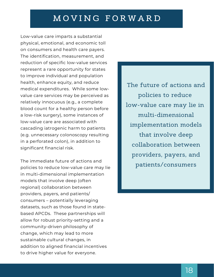## **M O V I N G F O R W A R D**

Low-value care imparts a substantial physical, emotional, and economic toll on consumers and health care payers. The identification, measurement, and reduction of specific low-value services represent a rare opportunity for states to improve individual and population health, enhance equity, and reduce medical expenditures. While some lowvalue care services may be perceived as relatively innocuous (e.g., a complete blood count for a healthy person before a low-risk surgery), some instances of low-value care are associated with cascading iatrogenic harm to patients (e.g. unnecessary colonoscopy resulting in a perforated colon), in addition to significant financial risk.

The immediate future of actions and policies to reduce low-value care may lie in multi-dimensional implementation models that involve deep (often regional) collaboration between providers, payers, and patients/ consumers – potentially leveraging datasets, such as those found in statebased APCDs. These partnerships will allow for robust priority-setting and a community-driven philosophy of change, which may lead to more sustainable cultural changes, in addition to aligned financial incentives to drive higher value for everyone.

The future of actions and policies to reduce low-value care may lie in multi-dimensional implementation models that involve deep collaboration between providers, payers, and patients/consumers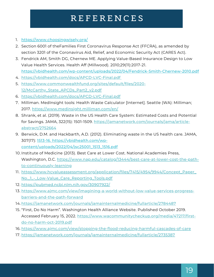## **R E F E R E N C E S**

- 1. <u><https://www.choosingwisely.org/></u>
- 2. Section 6001 of theFamilies First Coronavirus Response Act (FFCRA), as amended by section 3201 of the Coronavirus Aid, Relief, and Economic Security Act (CARES Act).
- 3. Fendrick AM, Smith DG, Chernew ME. Applying Value-Based Insurance Design to Low Value Health Services. Health Aff (Millwood). 2010;29(11):2017-21. <https://vbidhealth.com/wp-content/uploads/2022/04/Fendrick-Smith-Chernew-2010.pdf>
- 4. <u><https://vbidhealth.com/docs/APCD-LVC-Final.pdf></u>
- 5. <u>[https://www.commonwealthfund.org/sites/default/files/2020-](https://www.commonwealthfund.org/sites/default/files/2020-12/McCarthy_State_APCDs_Part2_v2.pdf)</u> 12/McCarthy\_State\_APCDs\_Part2\_v2.pdf
- 6. <u><https://vbidhealth.com/docs/APCD-LVC-Final.pdf></u>
- 7. Milliman. MedInsight tools: Health Waste Calculator [Internet]. Seattle (WA): Milliman; 2017. <https://www.medinsight.milliman.com/en/>
- Shrank, et al. (2019). Waste in the US Health Care System: Estimated Costs and Potential 8. for Savings. JAMA, 322(15): 1501-1509. [https://jamanetwork.com/journals/jama/article](https://jamanetwork.com/journals/jama/article-abstract/2752664)abstract/2752664
- Berwick, D.M. and Hackbarth, A.D. (2012). Eliminating waste in the US health care. JAMA, 9. 307(17): 1513-16. https://vbidhealth.com/wpcontent/uploads/2022/04/jsc25001\_1513\_1516.pdf
- 10. Institute of Medicine (2013). Best Care at Lower Cost. National Academies Press, Washington, D.C. [https://www.nap.edu/catalog/13444/best-care-at-lower-cost-the-path](https://www.nap.edu/catalog/13444/best-care-at-lower-cost-the-path-to-continuously-learning)to-continuously-learning
- 11. <u>[https://www.hcvalueassessment.org/application/files/7415/4954/9944/Concept\\_Paper\\_](https://www.hcvalueassessment.org/application/files/7415/4954/9944/Concept_Paper_No._1_-_Low-Value_Care_Reporting_Tools.pdf)</u> No.\_1\_-\_Low-Value\_Care\_Reporting\_Tools.pdf
- h[ttps://pubmed.ncbi.nlm.nih.gov/30907922/](https://pubmed.ncbi.nlm.nih.gov/30907922/) 12.
- 13. <u>https://www.ajmc.com/view/imagining-a-world-without-low-value-services-progress-</u> barriers-and-the-path-forward
- 14. <u><https://jamanetwork.com/journals/jamainternalmedicine/fullarticle/2784487></u>
- 15. "First, Do No Harm". Washington Health Alliance Website. Published October 2019. Accessed February 15, 2022. [https://www.wacommunitycheckup.org/media/47217/first](https://www.wacommunitycheckup.org/media/47217/first-do-no-harm-oct-2019.pdf)do-no-harm-oct-2019.pdf
- 16. <u><https://www.ajmc.com/view/stopping-the-flood-reducing-harmful-cascades-of-care></u>
- 17. <u><https://jamanetwork.com/journals/jamainternalmedicine/fullarticle/2735387></u>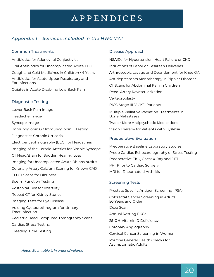### *Appendix 1 – Services included in the HWC V7.1*

#### Common Treatments

Antibiotics for Adenoviral Conjuctivitis Oral Antibiotics for Uncomplicated Acute TTO Cough and Cold Medicines in Children <4 Years Antibiotics for Acute Upper Respiratory and Ear Infections

Opiates in Acute Disabling Low Back Pain

#### Diagnostic Testing

Lower Back Pain Image Headache Image Syncope Image Immunoglobin G /Immunoglobin E Testing Diagnostics Chronic Urticaria Electroencephalography (EEG) for Headaches Imaging of the Carotid Arteries for Simple Syncope CT Head/Brain for Sudden Hearing Loss Imaging for Uncomplicated Acute Rhinosinusitis Coronary Artery Calcium Scoring for Known CAD ED CT Scans for Dizziness Sperm Function Testing Postcoital Test for Infertility Repeat CT for Kidney Stones Imaging Tests for Eye Disease Voiding Cystourethrogram for Urinary Tract Infection Pediatric Head Computed Tomography Scans Cardiac Stress Testing Bleeding Time Testing

#### Disease Approach

NSAIDs for Hypertension, Heart Failure or CKD Inductions of Labor or Cesarean Deliveries Arthroscopic Lavage and Debridement for Knee OA Antidepressants Monotherapy in Bipolar Disorder CT Scans for Abdominal Pain in Children Renal Artery Revascularization Vertebroplasty PICC Stage III-V CKD Patients Multiple Palliative Radiation Treatments in Bone Metastases Two or More Antipsychotic Medications Vision Therapy for Patients with Dyslexia Preoperative Evaluation

### Preoperative Baseline Laboratory Studies

Preop Cardiac Echocardiography or Stress Testing Preoperative EKG, Chest X-Ray and PFT PFT Prior to Cardiac Surgery MRI for Rheumatoid Arthritis

#### Screening Tests

Prostate Specific Antigen Screening (PSA)

Colorectal Cancer Screening in Adults 50 Years and Older

Dexa Scan

Annual Resting EKGs

25-OH-Vitamin D Deficiency

Coronary Angiography

Cervical Cancer Screening in Women

Routine General Health Checks for Asymptomatic Adults

*Notes: Each table is in order of volume*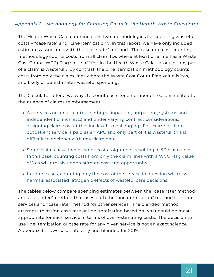### *Appendix 2 - Methodology for Counting Costs in the Health Waste Calculator*

The Health Waste Calculator includes two methodologies for counting wasteful costs – "case rate" and "Line Itemization". In this report, we have only included estimates associated with the "case rate" method. The case rate cost counting methodology counts costs from all claim IDs where at least one line has a Waste Cost Count (WCC) Flag value of 'Yes' in the Health Waste Calculator (i.e., any part of a claim is wasteful). By contrast, the Line Itemization methodology counts costs from only the claim lines where the Waste Cost Count Flag value is Yes, and likely underestimates wasteful spending.

The Calculator offers two ways to count costs for a number of reasons related to the nuance of claims reimbursement:

- As services occur at a mix of settings (inpatient, outpatient, systems and independent clinics, etc.) and under varying contract considerations, assigning claim cost at the line level is challenging. For example, if an outpatient service is paid as an APC and only part of it is wasteful, this is difficult to decipher with raw claim data.
- Some claims have inconsistent cost assignment resulting in \$0 claim lines. In this case, counting costs from only the claim lines with a WCC Flag value of Yes will grossly underestimate cost and opportunity.
- In some cases, counting only the cost of the service in question will miss harmful associated iatrogenic effects of wasteful care decisions.

The tables below compare spending estimates between the "case rate" method and a "blended" method that uses both the "line itemization" method for some services and "case rate" method for other services. The blended method attempts to assign case rate or line itemization based on what could be most appropriate for each service in terms of over-estimating costs. The decision to use line itemization or case rate for any given service is not an exact science. Appendix 3 shows case rate only and blended for 2019.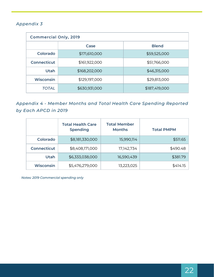### *Appendix 3*

| <b>Commercial Only, 2019</b> |               |               |  |  |
|------------------------------|---------------|---------------|--|--|
|                              | Case          | <b>Blend</b>  |  |  |
| Colorado                     | \$171,610,000 | \$59,525,000  |  |  |
| <b>Connecticut</b>           | \$161,922,000 | \$51,766,000  |  |  |
| Utah                         | \$168,202,000 | \$46,315,000  |  |  |
| <b>Wisconsin</b>             | \$129,197,000 | \$29,813,000  |  |  |
| TOTAL                        | \$630,931,000 | \$187,419,000 |  |  |

*Appendix 4 - Member Months and Total Health Care Spending Reported by Each APCD in 2019*

|                    | <b>Total Health Care</b><br><b>Spending</b> | <b>Total Member</b><br><b>Months</b> | <b>Total PMPM</b> |
|--------------------|---------------------------------------------|--------------------------------------|-------------------|
| Colorado           | \$8,181,330,000                             | 15,990,114                           | \$511.65          |
| <b>Connecticut</b> | \$8,408,171,000                             | 17,142,734                           | \$490.48          |
| Utah               | \$6,333,038,000                             | 16,590,439                           | \$381.79          |
| <b>Wisconsin</b>   | \$5,476,279,000                             | 13,223,025                           | \$414.15          |

*Notes: 2019 Commercial spending only*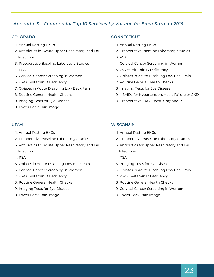#### *Appendix 5 – Commercial Top 10 Services by Volume for Each State in 2019*

#### COLORADO

- 1. Annual Resting EKGs
- 2. Antibiotics for Acute Upper Respiratory and Ear Infections
- 3. Preoperative Baseline Laboratory Studies
- 4. PSA
- 5. Cervical Cancer Screening in Women
- 25-OH-Vitamin D Deficiency 6.
- 7. Opiates in Acute Disabling Low Back Pain
- 8. Routine General Health Checks
- 9. Imaging Tests for Eye Disease
- 10. Lower Back Pain Image

#### UTAH

- 1. Annual Resting EKGs
- 2. Preoperative Baseline Laboratory Studies
- 3. Antibiotics for Acute Upper Respiratory and Ear Infection
- 4. PSA
- 5. Opiates in Acute Disabling Low Back Pain
- 6. Cervical Cancer Screening in Women
- 25-OH-Vitamin D Deficiency 7.
- 8. Routine General Health Checks
- 9. Imaging Tests for Eye Disease
- 10. Lower Back Pain Image

#### **CONNECTICUT**

- 1. Annual Resting EKGs
- 2. Preoperative Baseline Laboratory Studies
- 3. PSA
- 4. Cervical Cancer Screening in Women
- 25-OH-Vitamin D Deficiency 5.
- 6. Opiates in Acute Disabling Low Back Pain
- 7. Routine General Health Checks
- 8. Imaging Tests for Eye Disease
- 9. NSAIDs for Hypertension, Heart Failure or CKD
- 10. Preoperative EKG, Chest X-ray and PFT

#### **WISCONSIN**

- 1. Annual Resting EKGs
- 2. Preoperative Baseline Laboratory Studies
- 3. Antibiotics for Upper Respiratory and Ear Infections
- 4. PSA
- 5. Imaging Tests for Eye Disease
- 6. Opiates in Acute Disabling Low Back Pain
- 25-OH-Vitamin D Deficiency 7.
- 8. Routine General Health Checks
- 9. Cervical Cancer Screening in Women
- 10. Lower Back Pain Image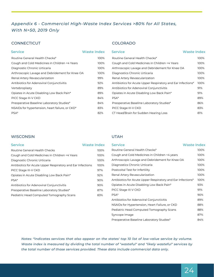### *Appendix 6 - Commercial High-Waste Index Services >80% for All States, With N>50, 2019 Only*

#### **CONNECTICUT**

#### Routine General Health Checks\* Cough and Cold Medicines in Children <4 Years Diagnostic Chronic Urticaria Arthroscopic Lavage and Debridement for Knee OA Renal Artery Revascularization Antibiotics for Adenoviral Conjunctivitis Vertebroplasty Opiates in Acute Disabling Low Back Pain\* PICC Stage III-V CKD Preoperative Baseline Laboratory Studies\* NSAIDs for hypertension, heart failure, or CKD\* PSA\* 100% 100% 100% 100% 99% 92% 89% 89% 84% 84% 83% 82%

#### COLORADO

| <b>Service</b>                                  | <b>Waste Index</b> | <b>Service</b>                                              | <b>Waste Index</b> |
|-------------------------------------------------|--------------------|-------------------------------------------------------------|--------------------|
| Routine General Health Checks*                  | 100%               | Routine General Health Checks*                              | 100%               |
| Cough and Cold Medicines in Children <4 Years   | 100%               | Cough and Cold Medicines in Children <4 Years               | 100%               |
| Diagnostic Chronic Urticaria                    | 100%               | Arthroscopic Lavage and Debridement for Knee OA             | 100%               |
| Arthroscopic Lavage and Debridement for Knee OA | 100%               | Diagnostics Chronic Urticaria                               | 100%               |
| Renal Artery Revascularization                  | 99%                | Renal Artery Revascularization                              | 100%               |
| Antibiotics for Adenoviral Conjunctivitis       | 92%                | Antibiotics for Acute Upper Respiratory and Ear Infections* | 100%               |
| Vertebroplasty                                  | 89%                | Antibiotics for Adenoviral Conjunctivitis                   | 91%                |
| Opiates in Acute Disabling Low Back Pain*       | 89%                | Opiates in Acute Disabling Low Back Pain*                   | 91%                |
| PICC Stage III-V CKD                            | 84%                | PSA*                                                        | 89%                |
| Preoperative Baseline Laboratory Studies*       | 84%                | Preoperative Baseline Laboratory Studies*                   | 86%                |
| NSAIDs for hypertension, heart failure, or CKD* | 83%                | PICC Stage III-V CKD                                        | 83%                |
| PSA*                                            | 82%                | CT Head/Brain for Sudden Hearing Loss                       | 81%                |

#### **WISCONSIN**

| <b>Waste Index</b><br><b>Service</b>                       |      |
|------------------------------------------------------------|------|
| Routine General Health Checks                              | 100% |
| Cough and Cold Medicines in Children <4 Years              | 100% |
| Diagnostic Chronic Urticaria                               | 100% |
| Antibiotics for Acute Upper Respiratory and Ear Infections | 100% |
| PICC Stage III-V CKD                                       | 97%  |
| Opiates in Acute Disabling Low Back Pain*                  | 92%  |
| $PSA*$                                                     | 90%  |
| Antibiotics for Adenoviral Conjunctivitis                  | 90%  |
| Preoperative Baseline Laboratory Studies*                  | 87%  |
| Pediatric Head Computed Tomography Scans                   | 83%  |

#### UTAH

| <b>Service</b>                                             | <b>Waste Index</b> | <b>Service</b>                                              | <b>Waste Index</b> |
|------------------------------------------------------------|--------------------|-------------------------------------------------------------|--------------------|
| Routine General Health Checks                              | 100%               | Routine General Health Checks*                              | 100%               |
| Cough and Cold Medicines in Children <4 Years              | 100%               | Cough and Cold Medicines in Children <4 years               | 100%               |
| Diagnostic Chronic Urticaria                               | 100%               | Arthroscopic Lavage and Debridement for Knee OA             | 100%               |
| Antibiotics for Acute Upper Respiratory and Ear Infections | 100%               | Diagnostics Chronic Urticaria                               | 100%               |
| PICC Stage III-V CKD                                       | 97%                | Postcoital Test for Infertility                             | 100%               |
| Opiates in Acute Disabling Low Back Pain*                  | 92%                | Renal Artery Revascularization                              | 100%               |
| PSA*                                                       | 90%                | Antibiotics for Acute Upper Respiratory and Ear Infections* | 100%               |
| Antibiotics for Adenoviral Conjunctivitis                  | 90%                | Opiates in Acute Disabling Low Back Pain*                   | 93%                |
| Preoperative Baseline Laboratory Studies*                  | 87%                | PICC Stage III-V CKD                                        | 91%                |
| Pediatric Head Computed Tomography Scans                   | 83%                | $PSA*$                                                      | 90%                |
|                                                            |                    | Antibiotics for Adenoviral Conjunctivitis                   | 89%                |
|                                                            |                    | NSAIDs for Hypertension, Heart Failure, or CKD              | 88%                |
|                                                            |                    | Pediatric Head Computed Tomography Scans                    | 88%                |
|                                                            |                    | Syncope Image                                               | 87%                |
|                                                            |                    | Preoperative Baseline Laboratory Studies*                   | 84%                |

*Notes: \*indicates services that also appear on the states' top 10 list of low-value service by volume. Waste index is measured by dividing the total number of "wasteful" and "likely wasteful" services by the total number of those services provided. These data include commercial data only.*